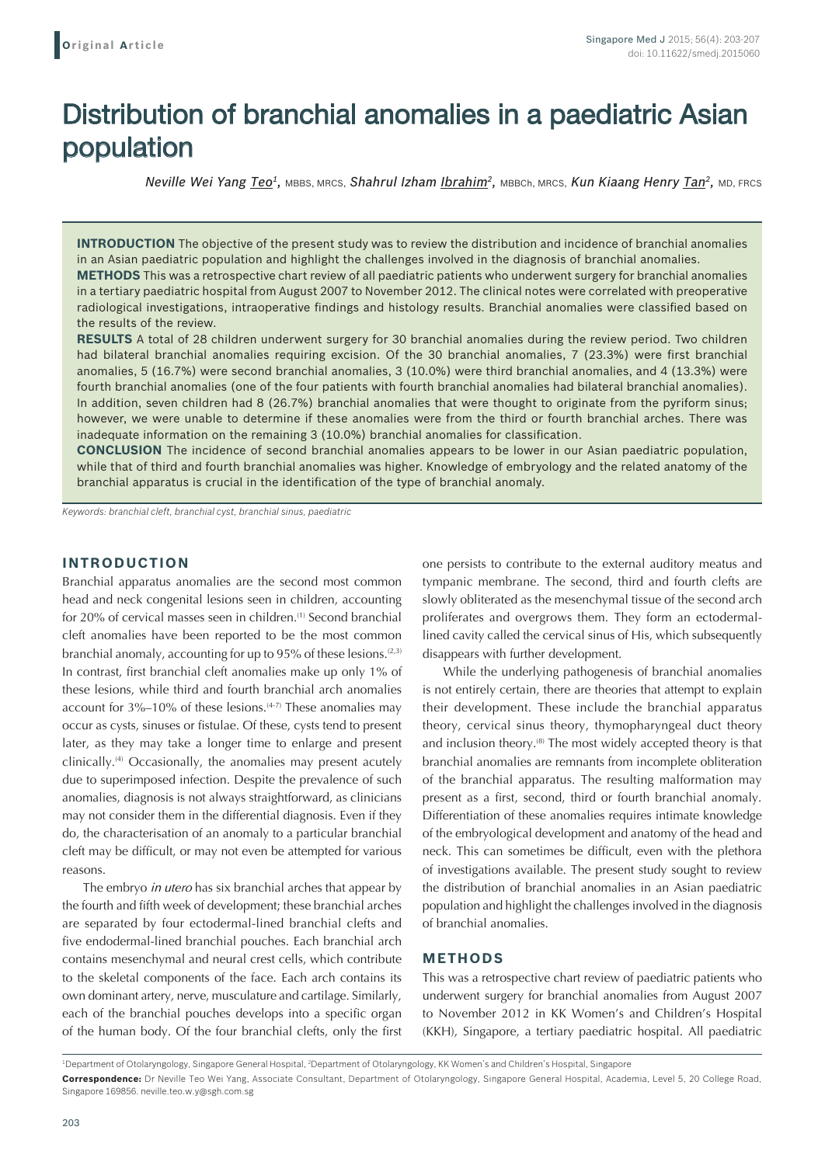# Distribution of branchial anomalies in a paediatric Asian population

*Neville Wei Yang Teo1,* MBBS, MRCS, *Shahrul Izham Ibrahim2,* MBBCh, MRCS, *Kun Kiaang Henry Tan2,* MD, FRCS

**INTRODUCTION** The objective of the present study was to review the distribution and incidence of branchial anomalies in an Asian paediatric population and highlight the challenges involved in the diagnosis of branchial anomalies. **METHODS** This was a retrospective chart review of all paediatric patients who underwent surgery for branchial anomalies

in a tertiary paediatric hospital from August 2007 to November 2012. The clinical notes were correlated with preoperative radiological investigations, intraoperative findings and histology results. Branchial anomalies were classified based on the results of the review.

**RESULTS** A total of 28 children underwent surgery for 30 branchial anomalies during the review period. Two children had bilateral branchial anomalies requiring excision. Of the 30 branchial anomalies, 7 (23.3%) were first branchial anomalies, 5 (16.7%) were second branchial anomalies, 3 (10.0%) were third branchial anomalies, and 4 (13.3%) were fourth branchial anomalies (one of the four patients with fourth branchial anomalies had bilateral branchial anomalies). In addition, seven children had 8 (26.7%) branchial anomalies that were thought to originate from the pyriform sinus; however, we were unable to determine if these anomalies were from the third or fourth branchial arches. There was inadequate information on the remaining 3 (10.0%) branchial anomalies for classification.

**CONCLUSION** The incidence of second branchial anomalies appears to be lower in our Asian paediatric population, while that of third and fourth branchial anomalies was higher. Knowledge of embryology and the related anatomy of the branchial apparatus is crucial in the identification of the type of branchial anomaly.

*Keywords: branchial cleft, branchial cyst, branchial sinus, paediatric*

# **INTRODUCTION**

Branchial apparatus anomalies are the second most common head and neck congenital lesions seen in children, accounting for 20% of cervical masses seen in children.<sup>(1)</sup> Second branchial cleft anomalies have been reported to be the most common branchial anomaly, accounting for up to 95% of these lesions. $(2,3)$ In contrast, first branchial cleft anomalies make up only 1% of these lesions, while third and fourth branchial arch anomalies account for  $3\%$ –10% of these lesions.<sup> $(4-7)$ </sup> These anomalies may occur as cysts, sinuses or fistulae. Of these, cysts tend to present later, as they may take a longer time to enlarge and present clinically.(4) Occasionally, the anomalies may present acutely due to superimposed infection. Despite the prevalence of such anomalies, diagnosis is not always straightforward, as clinicians may not consider them in the differential diagnosis. Even if they do, the characterisation of an anomaly to a particular branchial cleft may be difficult, or may not even be attempted for various reasons.

The embryo *in utero* has six branchial arches that appear by the fourth and fifth week of development; these branchial arches are separated by four ectodermal-lined branchial clefts and five endodermal-lined branchial pouches. Each branchial arch contains mesenchymal and neural crest cells, which contribute to the skeletal components of the face. Each arch contains its own dominant artery, nerve, musculature and cartilage. Similarly, each of the branchial pouches develops into a specific organ of the human body. Of the four branchial clefts, only the first one persists to contribute to the external auditory meatus and tympanic membrane. The second, third and fourth clefts are slowly obliterated as the mesenchymal tissue of the second arch proliferates and overgrows them. They form an ectodermallined cavity called the cervical sinus of His, which subsequently disappears with further development.

While the underlying pathogenesis of branchial anomalies is not entirely certain, there are theories that attempt to explain their development. These include the branchial apparatus theory, cervical sinus theory, thymopharyngeal duct theory and inclusion theory.<sup>(8)</sup> The most widely accepted theory is that branchial anomalies are remnants from incomplete obliteration of the branchial apparatus. The resulting malformation may present as a first, second, third or fourth branchial anomaly. Differentiation of these anomalies requires intimate knowledge of the embryological development and anatomy of the head and neck. This can sometimes be difficult, even with the plethora of investigations available. The present study sought to review the distribution of branchial anomalies in an Asian paediatric population and highlight the challenges involved in the diagnosis of branchial anomalies.

# **METHODS**

This was a retrospective chart review of paediatric patients who underwent surgery for branchial anomalies from August 2007 to November 2012 in KK Women's and Children's Hospital (KKH), Singapore, a tertiary paediatric hospital. All paediatric

<sup>&</sup>lt;sup>1</sup>Department of Otolaryngology, Singapore General Hospital, <sup>2</sup>Department of Otolaryngology, KK Women's and Children's Hospital, Singapore **Correspondence:** Dr Neville Teo Wei Yang, Associate Consultant, Department of Otolaryngology, Singapore General Hospital, Academia, Level 5, 20 College Road, Singapore 169856. neville.teo.w.y@sgh.com.sg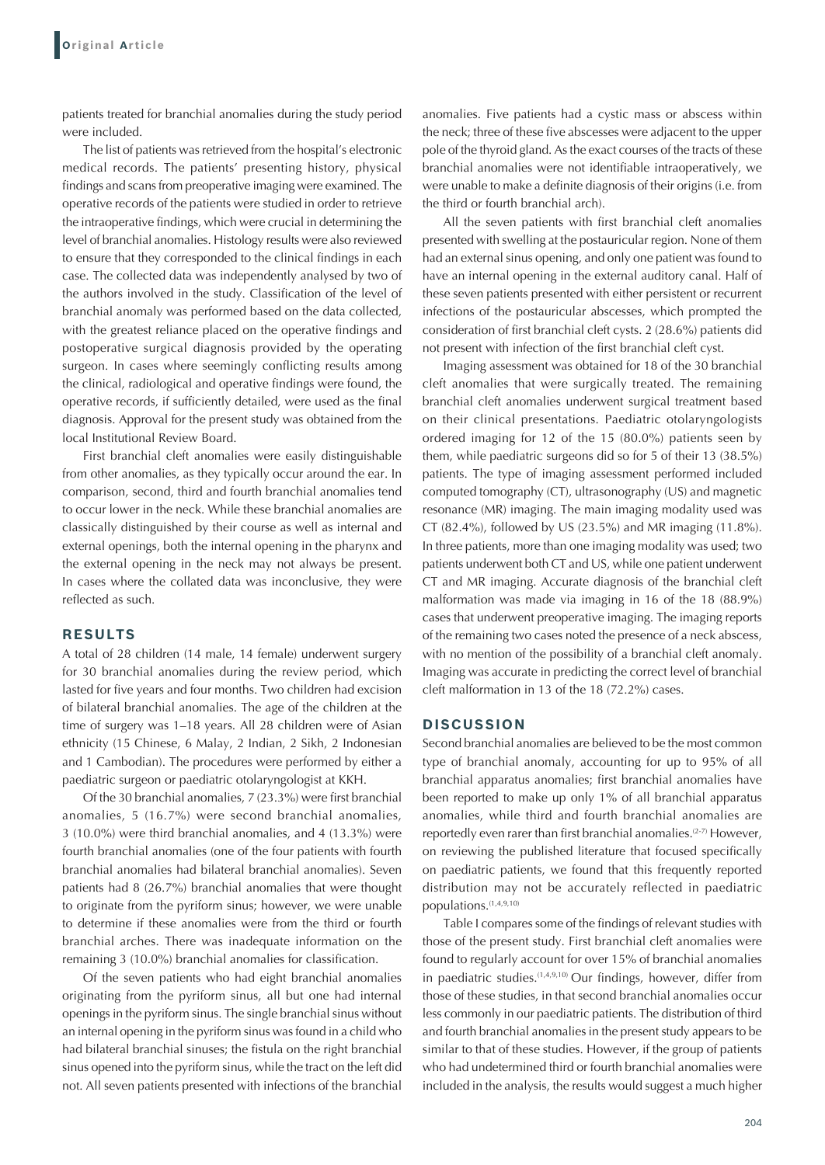patients treated for branchial anomalies during the study period were included.

The list of patients was retrieved from the hospital's electronic medical records. The patients' presenting history, physical findings and scans from preoperative imaging were examined. The operative records of the patients were studied in order to retrieve the intraoperative findings, which were crucial in determining the level of branchial anomalies. Histology results were also reviewed to ensure that they corresponded to the clinical findings in each case. The collected data was independently analysed by two of the authors involved in the study. Classification of the level of branchial anomaly was performed based on the data collected, with the greatest reliance placed on the operative findings and postoperative surgical diagnosis provided by the operating surgeon. In cases where seemingly conflicting results among the clinical, radiological and operative findings were found, the operative records, if sufficiently detailed, were used as the final diagnosis. Approval for the present study was obtained from the local Institutional Review Board.

First branchial cleft anomalies were easily distinguishable from other anomalies, as they typically occur around the ear. In comparison, second, third and fourth branchial anomalies tend to occur lower in the neck. While these branchial anomalies are classically distinguished by their course as well as internal and external openings, both the internal opening in the pharynx and the external opening in the neck may not always be present. In cases where the collated data was inconclusive, they were reflected as such.

## **RESULTS**

A total of 28 children (14 male, 14 female) underwent surgery for 30 branchial anomalies during the review period, which lasted for five years and four months. Two children had excision of bilateral branchial anomalies. The age of the children at the time of surgery was 1–18 years. All 28 children were of Asian ethnicity (15 Chinese, 6 Malay, 2 Indian, 2 Sikh, 2 Indonesian and 1 Cambodian). The procedures were performed by either a paediatric surgeon or paediatric otolaryngologist at KKH.

Of the 30 branchial anomalies, 7 (23.3%) were first branchial anomalies, 5 (16.7%) were second branchial anomalies, 3 (10.0%) were third branchial anomalies, and 4 (13.3%) were fourth branchial anomalies (one of the four patients with fourth branchial anomalies had bilateral branchial anomalies). Seven patients had 8 (26.7%) branchial anomalies that were thought to originate from the pyriform sinus; however, we were unable to determine if these anomalies were from the third or fourth branchial arches. There was inadequate information on the remaining 3 (10.0%) branchial anomalies for classification.

Of the seven patients who had eight branchial anomalies originating from the pyriform sinus, all but one had internal openings in the pyriform sinus. The single branchial sinus without an internal opening in the pyriform sinus was found in a child who had bilateral branchial sinuses; the fistula on the right branchial sinus opened into the pyriform sinus, while the tract on the left did not. All seven patients presented with infections of the branchial anomalies. Five patients had a cystic mass or abscess within the neck; three of these five abscesses were adjacent to the upper pole of the thyroid gland. As the exact courses of the tracts of these branchial anomalies were not identifiable intraoperatively, we were unable to make a definite diagnosis of their origins (i.e. from the third or fourth branchial arch).

All the seven patients with first branchial cleft anomalies presented with swelling at the postauricular region. None of them had an external sinus opening, and only one patient was found to have an internal opening in the external auditory canal. Half of these seven patients presented with either persistent or recurrent infections of the postauricular abscesses, which prompted the consideration of first branchial cleft cysts. 2 (28.6%) patients did not present with infection of the first branchial cleft cyst.

Imaging assessment was obtained for 18 of the 30 branchial cleft anomalies that were surgically treated. The remaining branchial cleft anomalies underwent surgical treatment based on their clinical presentations. Paediatric otolaryngologists ordered imaging for 12 of the 15 (80.0%) patients seen by them, while paediatric surgeons did so for 5 of their 13 (38.5%) patients. The type of imaging assessment performed included computed tomography (CT), ultrasonography (US) and magnetic resonance (MR) imaging. The main imaging modality used was CT (82.4%), followed by US (23.5%) and MR imaging (11.8%). In three patients, more than one imaging modality was used; two patients underwent both CT and US, while one patient underwent CT and MR imaging. Accurate diagnosis of the branchial cleft malformation was made via imaging in 16 of the 18 (88.9%) cases that underwent preoperative imaging. The imaging reports of the remaining two cases noted the presence of a neck abscess, with no mention of the possibility of a branchial cleft anomaly. Imaging was accurate in predicting the correct level of branchial cleft malformation in 13 of the 18 (72.2%) cases.

#### **DISCUSSION**

Second branchial anomalies are believed to be the most common type of branchial anomaly, accounting for up to 95% of all branchial apparatus anomalies; first branchial anomalies have been reported to make up only 1% of all branchial apparatus anomalies, while third and fourth branchial anomalies are reportedly even rarer than first branchial anomalies.<sup>(2-7)</sup> However, on reviewing the published literature that focused specifically on paediatric patients, we found that this frequently reported distribution may not be accurately reflected in paediatric populations.(1,4,9,10)

Table I compares some of the findings of relevant studies with those of the present study. First branchial cleft anomalies were found to regularly account for over 15% of branchial anomalies in paediatric studies. $(1,4,9,10)$  Our findings, however, differ from those of these studies, in that second branchial anomalies occur less commonly in our paediatric patients. The distribution of third and fourth branchial anomalies in the present study appears to be similar to that of these studies. However, if the group of patients who had undetermined third or fourth branchial anomalies were included in the analysis, the results would suggest a much higher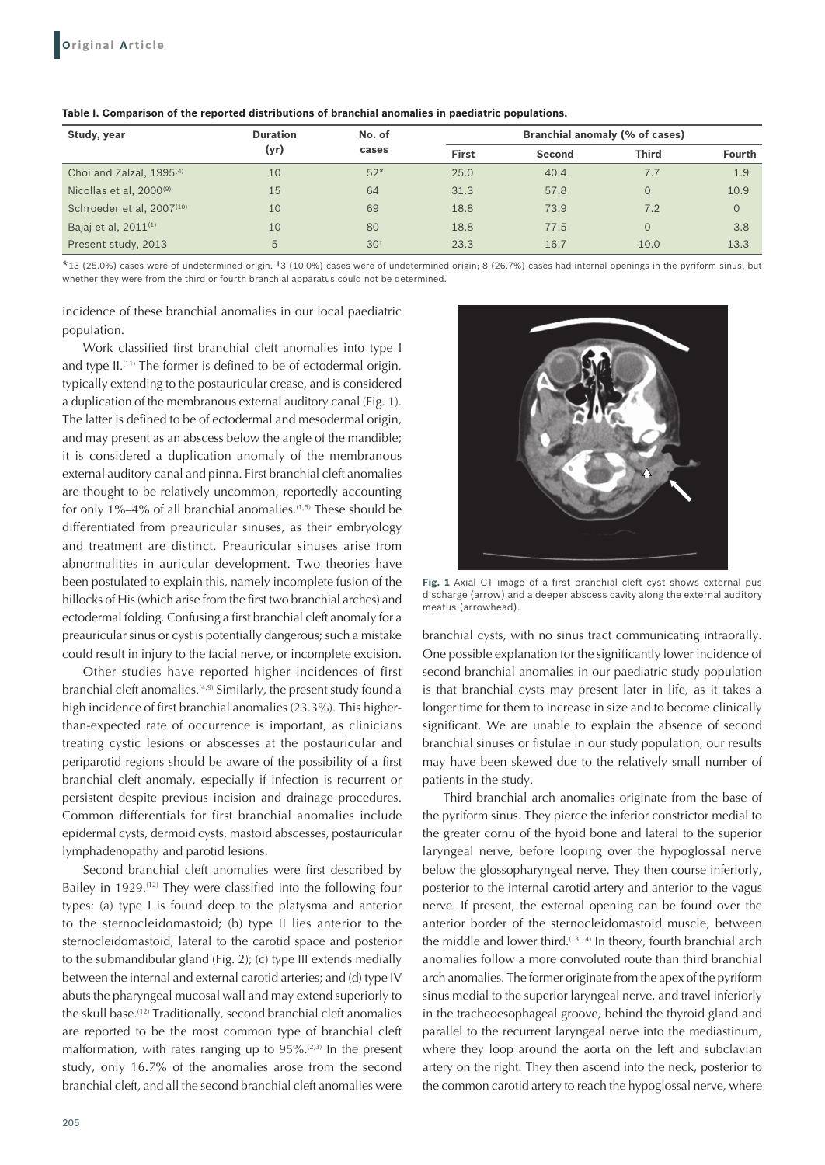| Study, year                           | <b>Duration</b><br>(yr) | No. of<br>cases | Branchial anomaly (% of cases) |               |              |               |
|---------------------------------------|-------------------------|-----------------|--------------------------------|---------------|--------------|---------------|
|                                       |                         |                 | <b>First</b>                   | <b>Second</b> | <b>Third</b> | <b>Fourth</b> |
| Choi and Zalzal, 1995 <sup>(4)</sup>  | 10                      | $52*$           | 25.0                           | 40.4          | 7.7          | 1.9           |
| Nicollas et al, 2000 <sup>(9)</sup>   | 15                      | 64              | 31.3                           | 57.8          | $\Omega$     | 10.9          |
| Schroeder et al, 2007 <sup>(10)</sup> | 10                      | 69              | 18.8                           | 73.9          | 7.2          | $\Omega$      |
| Bajaj et al, $2011^{(1)}$             | 10                      | 80              | 18.8                           | 77.5          | $\Omega$     | 3.8           |
| Present study, 2013                   | 5                       | 30 <sup>†</sup> | 23.3                           | 16.7          | 10.0         | 13.3          |

**Table I. Comparison of the reported distributions of branchial anomalies in paediatric populations.**

\*13 (25.0%) cases were of undetermined origin. †3 (10.0%) cases were of undetermined origin; 8 (26.7%) cases had internal openings in the pyriform sinus, but whether they were from the third or fourth branchial apparatus could not be determined.

incidence of these branchial anomalies in our local paediatric population.

Work classified first branchial cleft anomalies into type I and type II.<sup>(11)</sup> The former is defined to be of ectodermal origin, typically extending to the postauricular crease, and is considered a duplication of the membranous external auditory canal (Fig. 1). The latter is defined to be of ectodermal and mesodermal origin, and may present as an abscess below the angle of the mandible; it is considered a duplication anomaly of the membranous external auditory canal and pinna. First branchial cleft anomalies are thought to be relatively uncommon, reportedly accounting for only 1%–4% of all branchial anomalies.(1,5) These should be differentiated from preauricular sinuses, as their embryology and treatment are distinct. Preauricular sinuses arise from abnormalities in auricular development. Two theories have been postulated to explain this, namely incomplete fusion of the hillocks of His (which arise from the first two branchial arches) and ectodermal folding. Confusing a first branchial cleft anomaly for a preauricular sinus or cyst is potentially dangerous; such a mistake could result in injury to the facial nerve, or incomplete excision.

Other studies have reported higher incidences of first branchial cleft anomalies.<sup>(4,9)</sup> Similarly, the present study found a high incidence of first branchial anomalies (23.3%). This higherthan-expected rate of occurrence is important, as clinicians treating cystic lesions or abscesses at the postauricular and periparotid regions should be aware of the possibility of a first branchial cleft anomaly, especially if infection is recurrent or persistent despite previous incision and drainage procedures. Common differentials for first branchial anomalies include epidermal cysts, dermoid cysts, mastoid abscesses, postauricular lymphadenopathy and parotid lesions.

Second branchial cleft anomalies were first described by Bailey in 1929.<sup>(12)</sup> They were classified into the following four types: (a) type I is found deep to the platysma and anterior to the sternocleidomastoid; (b) type II lies anterior to the sternocleidomastoid, lateral to the carotid space and posterior to the submandibular gland (Fig. 2); (c) type III extends medially between the internal and external carotid arteries; and (d) type IV abuts the pharyngeal mucosal wall and may extend superiorly to the skull base.<sup>(12)</sup> Traditionally, second branchial cleft anomalies are reported to be the most common type of branchial cleft malformation, with rates ranging up to 95%.<sup>(2,3)</sup> In the present study, only 16.7% of the anomalies arose from the second branchial cleft, and all the second branchial cleft anomalies were



Fig. 1 Axial CT image of a first branchial cleft cyst shows external pus discharge (arrow) and a deeper abscess cavity along the external auditory meatus (arrowhead).

branchial cysts, with no sinus tract communicating intraorally. One possible explanation for the significantly lower incidence of second branchial anomalies in our paediatric study population is that branchial cysts may present later in life, as it takes a longer time for them to increase in size and to become clinically significant. We are unable to explain the absence of second branchial sinuses or fistulae in our study population; our results may have been skewed due to the relatively small number of patients in the study.

Third branchial arch anomalies originate from the base of the pyriform sinus. They pierce the inferior constrictor medial to the greater cornu of the hyoid bone and lateral to the superior laryngeal nerve, before looping over the hypoglossal nerve below the glossopharyngeal nerve. They then course inferiorly, posterior to the internal carotid artery and anterior to the vagus nerve. If present, the external opening can be found over the anterior border of the sternocleidomastoid muscle, between the middle and lower third.<sup>(13,14)</sup> In theory, fourth branchial arch anomalies follow a more convoluted route than third branchial arch anomalies. The former originate from the apex of the pyriform sinus medial to the superior laryngeal nerve, and travel inferiorly in the tracheoesophageal groove, behind the thyroid gland and parallel to the recurrent laryngeal nerve into the mediastinum, where they loop around the aorta on the left and subclavian artery on the right. They then ascend into the neck, posterior to the common carotid artery to reach the hypoglossal nerve, where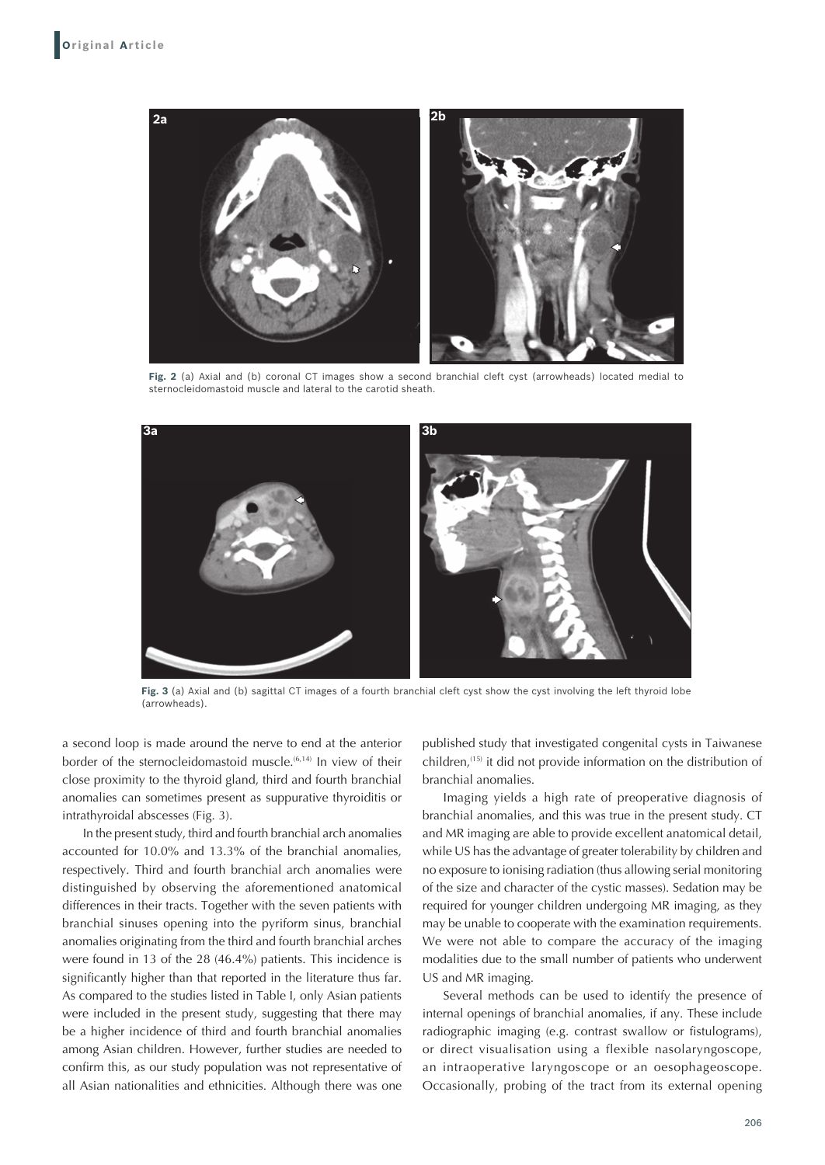

**Fig. 2** (a) Axial and (b) coronal CT images show a second branchial cleft cyst (arrowheads) located medial to sternocleidomastoid muscle and lateral to the carotid sheath.



**Fig. 3** (a) Axial and (b) sagittal CT images of a fourth branchial cleft cyst show the cyst involving the left thyroid lobe (arrowheads).

a second loop is made around the nerve to end at the anterior border of the sternocleidomastoid muscle.<sup>(6,14)</sup> In view of their close proximity to the thyroid gland, third and fourth branchial anomalies can sometimes present as suppurative thyroiditis or intrathyroidal abscesses (Fig. 3).

In the present study, third and fourth branchial arch anomalies accounted for 10.0% and 13.3% of the branchial anomalies, respectively. Third and fourth branchial arch anomalies were distinguished by observing the aforementioned anatomical differences in their tracts. Together with the seven patients with branchial sinuses opening into the pyriform sinus, branchial anomalies originating from the third and fourth branchial arches were found in 13 of the 28 (46.4%) patients. This incidence is significantly higher than that reported in the literature thus far. As compared to the studies listed in Table I, only Asian patients were included in the present study, suggesting that there may be a higher incidence of third and fourth branchial anomalies among Asian children. However, further studies are needed to confirm this, as our study population was not representative of all Asian nationalities and ethnicities. Although there was one

published study that investigated congenital cysts in Taiwanese children,<sup>(15)</sup> it did not provide information on the distribution of branchial anomalies.

Imaging yields a high rate of preoperative diagnosis of branchial anomalies, and this was true in the present study. CT and MR imaging are able to provide excellent anatomical detail, while US has the advantage of greater tolerability by children and no exposure to ionising radiation (thus allowing serial monitoring of the size and character of the cystic masses). Sedation may be required for younger children undergoing MR imaging, as they may be unable to cooperate with the examination requirements. We were not able to compare the accuracy of the imaging modalities due to the small number of patients who underwent US and MR imaging.

Several methods can be used to identify the presence of internal openings of branchial anomalies, if any. These include radiographic imaging (e.g. contrast swallow or fistulograms), or direct visualisation using a flexible nasolaryngoscope, an intraoperative laryngoscope or an oesophageoscope. Occasionally, probing of the tract from its external opening